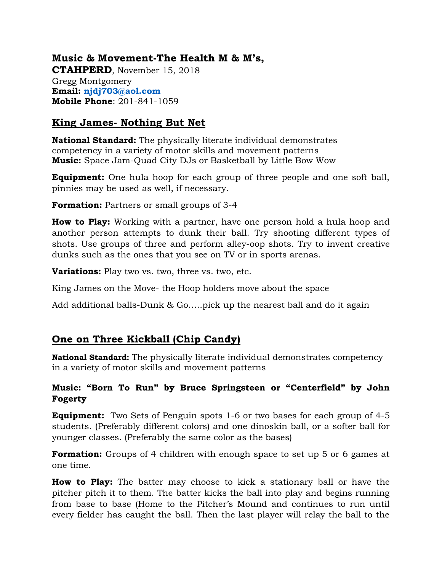## **Music & Movement-The Health M & M's,**

**CTAHPERD**, November 15, 2018 Gregg Montgomery **Email: [njdj703@aol.com](mailto:njdj703@aol.com) Mobile Phone**: 201-841-1059

#### **King James- Nothing But Net**

**National Standard:** The physically literate individual demonstrates competency in a variety of motor skills and movement patterns **Music:** Space Jam-Quad City DJs or Basketball by Little Bow Wow

**Equipment:** One hula hoop for each group of three people and one soft ball, pinnies may be used as well, if necessary.

**Formation:** Partners or small groups of 3-4

**How to Play:** Working with a partner, have one person hold a hula hoop and another person attempts to dunk their ball. Try shooting different types of shots. Use groups of three and perform alley-oop shots. Try to invent creative dunks such as the ones that you see on TV or in sports arenas.

**Variations:** Play two vs. two, three vs. two, etc.

King James on the Move- the Hoop holders move about the space

Add additional balls-Dunk & Go…..pick up the nearest ball and do it again

## **One on Three Kickball (Chip Candy)**

**National Standard:** The physically literate individual demonstrates competency in a variety of motor skills and movement patterns

#### **Music: "Born To Run" by Bruce Springsteen or "Centerfield" by John Fogerty**

**Equipment:** Two Sets of Penguin spots 1-6 or two bases for each group of 4-5 students. (Preferably different colors) and one dinoskin ball, or a softer ball for younger classes. (Preferably the same color as the bases)

**Formation:** Groups of 4 children with enough space to set up 5 or 6 games at one time.

**How to Play:** The batter may choose to kick a stationary ball or have the pitcher pitch it to them. The batter kicks the ball into play and begins running from base to base (Home to the Pitcher's Mound and continues to run until every fielder has caught the ball. Then the last player will relay the ball to the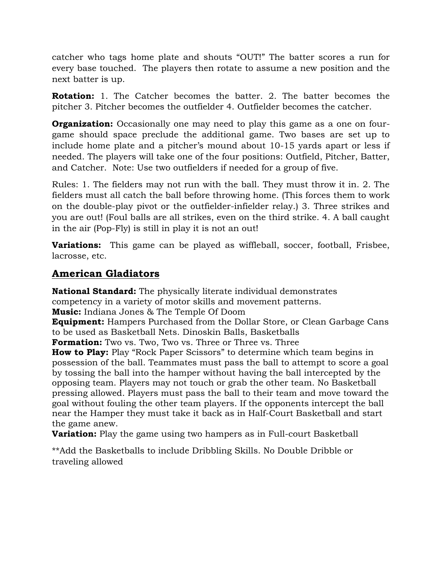catcher who tags home plate and shouts "OUT!" The batter scores a run for every base touched. The players then rotate to assume a new position and the next batter is up.

**Rotation:** 1. The Catcher becomes the batter. 2. The batter becomes the pitcher 3. Pitcher becomes the outfielder 4. Outfielder becomes the catcher.

**Organization:** Occasionally one may need to play this game as a one on fourgame should space preclude the additional game. Two bases are set up to include home plate and a pitcher's mound about 10-15 yards apart or less if needed. The players will take one of the four positions: Outfield, Pitcher, Batter, and Catcher. Note: Use two outfielders if needed for a group of five.

Rules: 1. The fielders may not run with the ball. They must throw it in. 2. The fielders must all catch the ball before throwing home. (This forces them to work on the double-play pivot or the outfielder-infielder relay.) 3. Three strikes and you are out! (Foul balls are all strikes, even on the third strike. 4. A ball caught in the air (Pop-Fly) is still in play it is not an out!

**Variations:** This game can be played as wiffleball, soccer, football, Frisbee, lacrosse, etc.

## **American Gladiators**

**National Standard:** The physically literate individual demonstrates competency in a variety of motor skills and movement patterns. **Music:** Indiana Jones & The Temple Of Doom

**Equipment:** Hampers Purchased from the Dollar Store, or Clean Garbage Cans to be used as Basketball Nets. Dinoskin Balls, Basketballs

**Formation:** Two vs. Two, Two vs. Three or Three vs. Three

**How to Play:** Play "Rock Paper Scissors" to determine which team begins in possession of the ball. Teammates must pass the ball to attempt to score a goal by tossing the ball into the hamper without having the ball intercepted by the opposing team. Players may not touch or grab the other team. No Basketball pressing allowed. Players must pass the ball to their team and move toward the goal without fouling the other team players. If the opponents intercept the ball near the Hamper they must take it back as in Half-Court Basketball and start the game anew.

**Variation:** Play the game using two hampers as in Full-court Basketball

\*\*Add the Basketballs to include Dribbling Skills. No Double Dribble or traveling allowed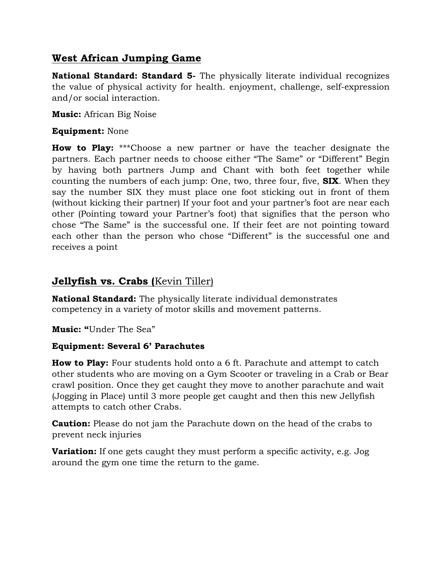## **West African Jumping Game**

**National Standard: Standard 5-** The physically literate individual recognizes the value of physical activity for health. enjoyment, challenge, self-expression and/or social interaction.

**Music:** African Big Noise

#### **Equipment:** None

**How to Play:** \*\*\*Choose a new partner or have the teacher designate the partners. Each partner needs to choose either "The Same" or "Different" Begin by having both partners Jump and Chant with both feet together while counting the numbers of each jump: One, two, three four, five, **SIX**. When they say the number SIX they must place one foot sticking out in front of them (without kicking their partner) If your foot and your partner's foot are near each other (Pointing toward your Partner's foot) that signifies that the person who chose "The Same" is the successful one. If their feet are not pointing toward each other than the person who chose "Different" is the successful one and receives a point

## **Jellyfish vs. Crabs (**Kevin Tiller)

**National Standard:** The physically literate individual demonstrates competency in a variety of motor skills and movement patterns.

**Music: "**Under The Sea"

#### **Equipment: Several 6' Parachutes**

**How to Play:** Four students hold onto a 6 ft. Parachute and attempt to catch other students who are moving on a Gym Scooter or traveling in a Crab or Bear crawl position. Once they get caught they move to another parachute and wait (Jogging in Place) until 3 more people get caught and then this new Jellyfish attempts to catch other Crabs.

**Caution:** Please do not jam the Parachute down on the head of the crabs to prevent neck injuries

**Variation:** If one gets caught they must perform a specific activity, e.g. Jog around the gym one time the return to the game.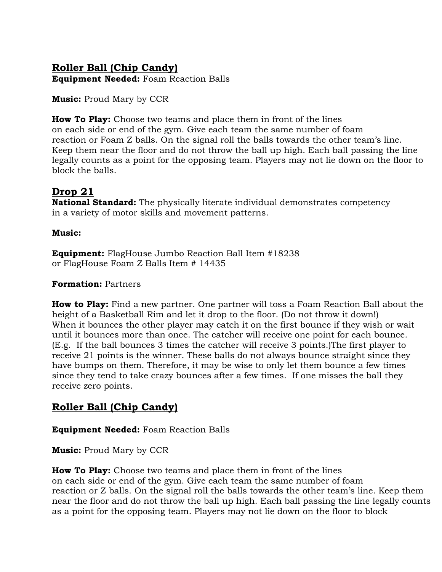# **Roller Ball (Chip Candy)**

**Equipment Needed:** Foam Reaction Balls

**Music:** Proud Mary by CCR

**How To Play:** Choose two teams and place them in front of the lines on each side or end of the gym. Give each team the same number of foam reaction or Foam Z balls. On the signal roll the balls towards the other team's line. Keep them near the floor and do not throw the ball up high. Each ball passing the line legally counts as a point for the opposing team. Players may not lie down on the floor to block the balls.

## **Drop 21**

**National Standard:** The physically literate individual demonstrates competency in a variety of motor skills and movement patterns.

#### **Music:**

**Equipment:** FlagHouse Jumbo Reaction Ball Item #18238 or FlagHouse Foam Z Balls Item # 14435

#### **Formation:** Partners

**How to Play:** Find a new partner. One partner will toss a Foam Reaction Ball about the height of a Basketball Rim and let it drop to the floor. (Do not throw it down!) When it bounces the other player may catch it on the first bounce if they wish or wait until it bounces more than once. The catcher will receive one point for each bounce. (E.g. If the ball bounces 3 times the catcher will receive 3 points.)The first player to receive 21 points is the winner. These balls do not always bounce straight since they have bumps on them. Therefore, it may be wise to only let them bounce a few times since they tend to take crazy bounces after a few times. If one misses the ball they receive zero points.

## **Roller Ball (Chip Candy)**

**Equipment Needed:** Foam Reaction Balls

**Music:** Proud Mary by CCR

**How To Play:** Choose two teams and place them in front of the lines on each side or end of the gym. Give each team the same number of foam reaction or Z balls. On the signal roll the balls towards the other team's line. Keep them near the floor and do not throw the ball up high. Each ball passing the line legally counts as a point for the opposing team. Players may not lie down on the floor to block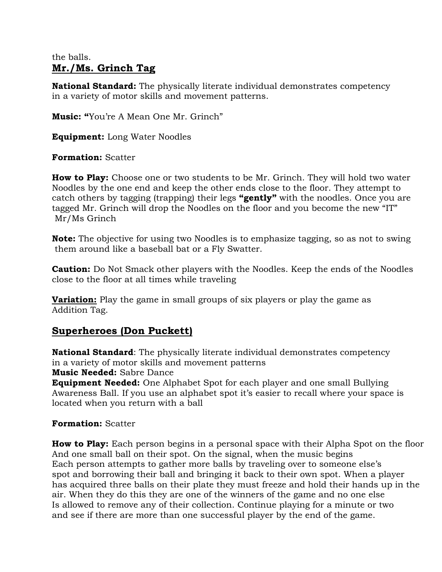#### the balls. **Mr./Ms. Grinch Tag**

**National Standard:** The physically literate individual demonstrates competency in a variety of motor skills and movement patterns.

**Music: "**You're A Mean One Mr. Grinch"

**Equipment:** Long Water Noodles

**Formation:** Scatter

**How to Play:** Choose one or two students to be Mr. Grinch. They will hold two water Noodles by the one end and keep the other ends close to the floor. They attempt to catch others by tagging (trapping) their legs **"gently"** with the noodles. Once you are tagged Mr. Grinch will drop the Noodles on the floor and you become the new "IT" Mr/Ms Grinch

**Note:** The objective for using two Noodles is to emphasize tagging, so as not to swing them around like a baseball bat or a Fly Swatter.

**Caution:** Do Not Smack other players with the Noodles. Keep the ends of the Noodles close to the floor at all times while traveling

**Variation:** Play the game in small groups of six players or play the game as Addition Tag.

## **Superheroes (Don Puckett)**

**National Standard**: The physically literate individual demonstrates competency in a variety of motor skills and movement patterns

**Music Needed:** Sabre Dance

**Equipment Needed:** One Alphabet Spot for each player and one small Bullying Awareness Ball. If you use an alphabet spot it's easier to recall where your space is located when you return with a ball

#### **Formation:** Scatter

**How to Play:** Each person begins in a personal space with their Alpha Spot on the floor And one small ball on their spot. On the signal, when the music begins Each person attempts to gather more balls by traveling over to someone else's spot and borrowing their ball and bringing it back to their own spot. When a player has acquired three balls on their plate they must freeze and hold their hands up in the air. When they do this they are one of the winners of the game and no one else Is allowed to remove any of their collection. Continue playing for a minute or two and see if there are more than one successful player by the end of the game.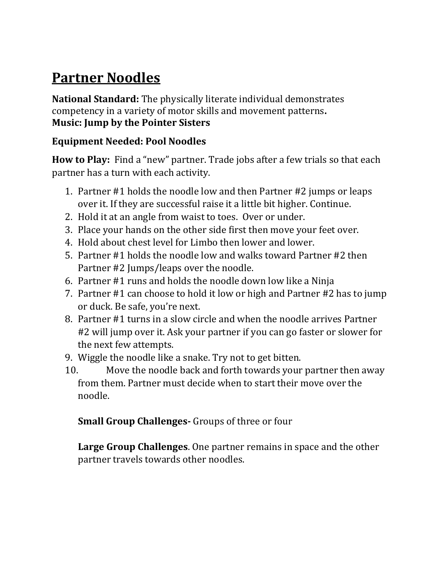# **Partner Noodles**

**National Standard:** The physically literate individual demonstrates competency in a variety of motor skills and movement patterns**. Music: Jump by the Pointer Sisters**

## **Equipment Needed: Pool Noodles**

**How to Play:** Find a "new" partner. Trade jobs after a few trials so that each partner has a turn with each activity.

- 1. Partner #1 holds the noodle low and then Partner #2 jumps or leaps over it. If they are successful raise it a little bit higher. Continue.
- 2. Hold it at an angle from waist to toes. Over or under.
- 3. Place your hands on the other side first then move your feet over.
- 4. Hold about chest level for Limbo then lower and lower.
- 5. Partner #1 holds the noodle low and walks toward Partner #2 then Partner #2 Jumps/leaps over the noodle.
- 6. Partner #1 runs and holds the noodle down low like a Ninja
- 7. Partner #1 can choose to hold it low or high and Partner #2 has to jump or duck. Be safe, you're next.
- 8. Partner #1 turns in a slow circle and when the noodle arrives Partner #2 will jump over it. Ask your partner if you can go faster or slower for the next few attempts.
- 9. Wiggle the noodle like a snake. Try not to get bitten.
- 10. Move the noodle back and forth towards your partner then away from them. Partner must decide when to start their move over the noodle.

## **Small Group Challenges-** Groups of three or four

**Large Group Challenges**. One partner remains in space and the other partner travels towards other noodles.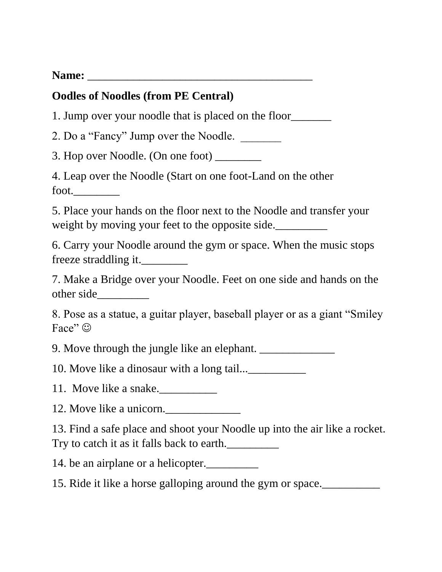Name: <u>\_\_\_\_\_\_\_\_\_\_\_\_\_\_\_\_\_\_\_\_\_\_</u>

# **Oodles of Noodles (from PE Central)**

1. Jump over your noodle that is placed on the floor

2. Do a "Fancy" Jump over the Noodle.

3. Hop over Noodle. (On one foot) \_\_\_\_\_\_\_\_

4. Leap over the Noodle (Start on one foot-Land on the other foot.

5. Place your hands on the floor next to the Noodle and transfer your weight by moving your feet to the opposite side.

6. Carry your Noodle around the gym or space. When the music stops freeze straddling it.\_\_\_\_\_\_\_\_

7. Make a Bridge over your Noodle. Feet on one side and hands on the other side\_\_\_\_\_\_\_\_\_

8. Pose as a statue, a guitar player, baseball player or as a giant "Smiley Face"  $\odot$ 

9. Move through the jungle like an elephant.

10. Move like a dinosaur with a long tail...

11. Move like a snake.\_\_\_\_\_\_\_\_\_\_

12. Move like a unicorn.

13. Find a safe place and shoot your Noodle up into the air like a rocket. Try to catch it as it falls back to earth.\_\_\_\_\_\_\_\_\_

14. be an airplane or a helicopter.

15. Ride it like a horse galloping around the gym or space.\_\_\_\_\_\_\_\_\_\_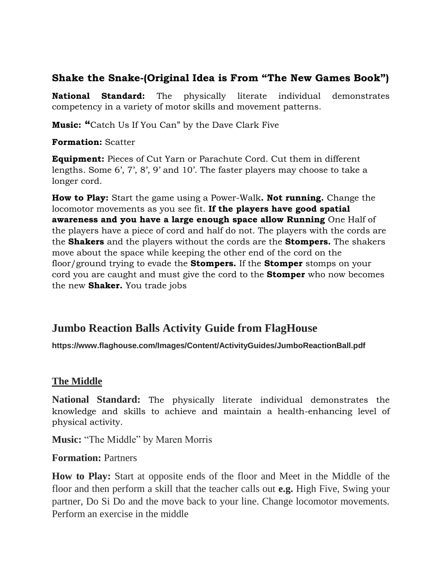## **Shake the Snake-(Original Idea is From "The New Games Book")**

**National Standard:** The physically literate individual demonstrates competency in a variety of motor skills and movement patterns.

**Music: "**Catch Us If You Can" by the Dave Clark Five

#### **Formation:** Scatter

**Equipment:** Pieces of Cut Yarn or Parachute Cord. Cut them in different lengths. Some 6', 7', 8', 9' and 10'. The faster players may choose to take a longer cord.

**How to Play:** Start the game using a Power-Walk**. Not running.** Change the locomotor movements as you see fit. **If the players have good spatial awareness and you have a large enough space allow Running** One Half of the players have a piece of cord and half do not. The players with the cords are the **Shakers** and the players without the cords are the **Stompers.** The shakers move about the space while keeping the other end of the cord on the floor/ground trying to evade the **Stompers.** If the **Stomper** stomps on your cord you are caught and must give the cord to the **Stomper** who now becomes the new **Shaker.** You trade jobs

# **Jumbo Reaction Balls Activity Guide from FlagHouse**

**https://www.flaghouse.com/Images/Content/ActivityGuides/JumboReactionBall.pdf**

#### **The Middle**

**National Standard:** The physically literate individual demonstrates the knowledge and skills to achieve and maintain a health-enhancing level of physical activity.

**Music:** "The Middle" by Maren Morris

**Formation:** Partners

**How to Play:** Start at opposite ends of the floor and Meet in the Middle of the floor and then perform a skill that the teacher calls out **e.g.** High Five, Swing your partner, Do Si Do and the move back to your line. Change locomotor movements. Perform an exercise in the middle